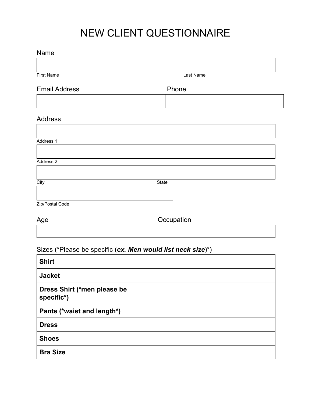## NEW CLIENT QUESTIONNAIRE

## Name

| First Name           | Last Name |  |
|----------------------|-----------|--|
| <b>Email Address</b> | Phone     |  |
|                      |           |  |
| <b>Address</b>       |           |  |
| Address 1            |           |  |
| Address 2            |           |  |
| City                 | State     |  |
|                      |           |  |

| Age | Occupation |
|-----|------------|
|     |            |

## Sizes (\*Please be specific (*ex. Men would list neck size*)\*)

| <b>Shirt</b>                              |  |
|-------------------------------------------|--|
| <b>Jacket</b>                             |  |
| Dress Shirt (*men please be<br>specific*) |  |
| Pants (*waist and length*)                |  |
| <b>Dress</b>                              |  |
| <b>Shoes</b>                              |  |
| <b>Bra Size</b>                           |  |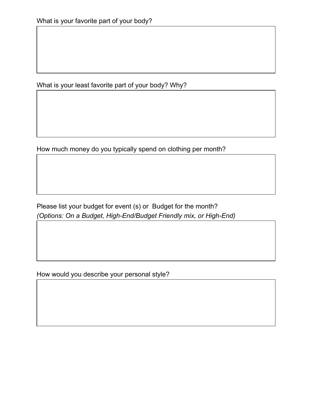What is your least favorite part of your body? Why?

How much money do you typically spend on clothing per month?

Please list your budget for event (s) or Budget for the month? *(Options: On a Budget, High-End/Budget Friendly mix, or High-End)*

How would you describe your personal style?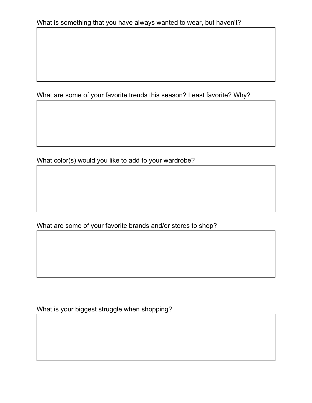What are some of your favorite trends this season? Least favorite? Why?

What color(s) would you like to add to your wardrobe?

What are some of your favorite brands and/or stores to shop?

What is your biggest struggle when shopping?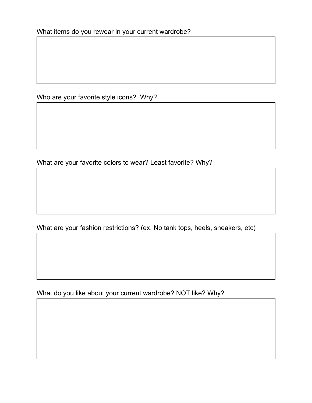Who are your favorite style icons? Why?

What are your favorite colors to wear? Least favorite? Why?

What are your fashion restrictions? (ex. No tank tops, heels, sneakers, etc)

What do you like about your current wardrobe? NOT like? Why?